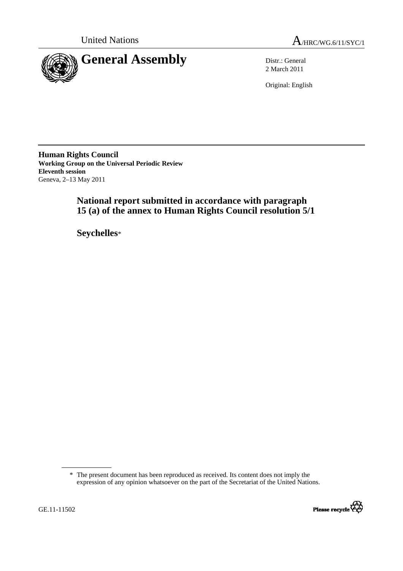



2 March 2011

Original: English

**Human Rights Council Working Group on the Universal Periodic Review Eleventh session**  Geneva, 2–13 May 2011

# **National report submitted in accordance with paragraph 15 (a) of the annex to Human Rights Council resolution 5/1**

 **Seychelles**\*

 <sup>\*</sup> The present document has been reproduced as received. Its content does not imply the expression of any opinion whatsoever on the part of the Secretariat of the United Nations.

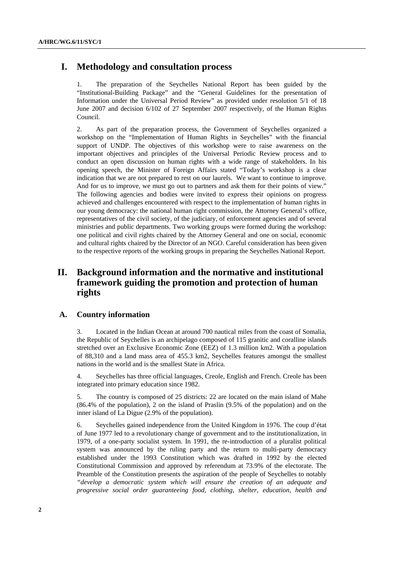# **I. Methodology and consultation process**

1. The preparation of the Seychelles National Report has been guided by the "Institutional-Building Package" and the "General Guidelines for the presentation of Information under the Universal Period Review" as provided under resolution 5/1 of 18 June 2007 and decision 6/102 of 27 September 2007 respectively, of the Human Rights Council.

2. As part of the preparation process, the Government of Seychelles organized a workshop on the "Implementation of Human Rights in Seychelles" with the financial support of UNDP. The objectives of this workshop were to raise awareness on the important objectives and principles of the Universal Periodic Review process and to conduct an open discussion on human rights with a wide range of stakeholders. In his opening speech, the Minister of Foreign Affairs stated "Today's workshop is a clear indication that we are not prepared to rest on our laurels. We want to continue to improve. And for us to improve, we must go out to partners and ask them for their points of view." The following agencies and bodies were invited to express their opinions on progress achieved and challenges encountered with respect to the implementation of human rights in our young democracy: the national human right commission, the Attorney General's office, representatives of the civil society, of the judiciary, of enforcement agencies and of several ministries and public departments. Two working groups were formed during the workshop: one political and civil rights chaired by the Attorney General and one on social, economic and cultural rights chaired by the Director of an NGO. Careful consideration has been given to the respective reports of the working groups in preparing the Seychelles National Report.

# **II. Background information and the normative and institutional framework guiding the promotion and protection of human rights**

# **A. Country information**

3. Located in the Indian Ocean at around 700 nautical miles from the coast of Somalia, the Republic of Seychelles is an archipelago composed of 115 granitic and coralline islands stretched over an Exclusive Economic Zone (EEZ) of 1.3 million km2. With a population of 88,310 and a land mass area of 455.3 km2, Seychelles features amongst the smallest nations in the world and is the smallest State in Africa.

4. Seychelles has three official languages, Creole, English and French. Creole has been integrated into primary education since 1982.

5. The country is composed of 25 districts: 22 are located on the main island of Mahe (86.4% of the population), 2 on the island of Praslin (9.5% of the population) and on the inner island of La Digue (2.9% of the population).

6. Seychelles gained independence from the United Kingdom in 1976. The coup d'état of June 1977 led to a revolutionary change of government and to the institutionalization, in 1979, of a one-party socialist system. In 1991, the re-introduction of a pluralist political system was announced by the ruling party and the return to multi-party democracy established under the 1993 Constitution which was drafted in 1992 by the elected Constitutional Commission and approved by referendum at 73.9% of the electorate. The Preamble of the Constitution presents the aspiration of the people of Seychelles to notably *"develop a democratic system which will ensure the creation of an adequate and progressive social order guaranteeing food, clothing, shelter, education, health and*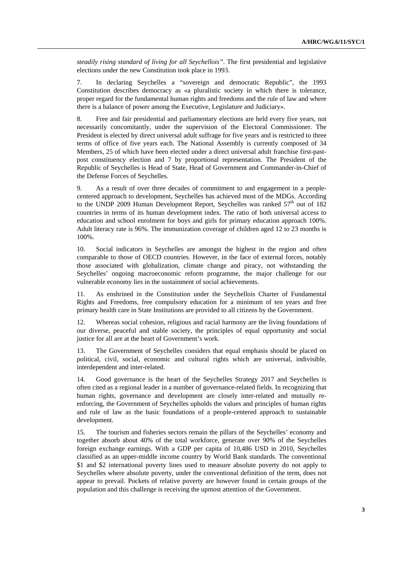*steadily rising standard of living for all Seychellois"*. The first presidential and legislative elections under the new Constitution took place in 1993.

7. In declaring Seychelles a "sovereign and democratic Republic", the 1993 Constitution describes democracy as «a pluralistic society in which there is tolerance, proper regard for the fundamental human rights and freedoms and the rule of law and where there is a balance of power among the Executive, Legislature and Judiciary».

8. Free and fair presidential and parliamentary elections are held every five years, not necessarily concomitantly, under the supervision of the Electoral Commissioner. The President is elected by direct universal adult suffrage for five years and is restricted to three terms of office of five years each. The National Assembly is currently composed of 34 Members, 25 of which have been elected under a direct universal adult franchise first-pastpost constituency election and 7 by proportional representation. The President of the Republic of Seychelles is Head of State, Head of Government and Commander-in-Chief of the Defense Forces of Seychelles.

9. As a result of over three decades of commitment to and engagement in a peoplecentered approach to development, Seychelles has achieved most of the MDGs. According to the UNDP 2009 Human Development Report, Seychelles was ranked  $57<sup>th</sup>$  out of 182 countries in terms of its human development index. The ratio of both universal access to education and school enrolment for boys and girls for primary education approach 100%. Adult literacy rate is 96%. The immunization coverage of children aged 12 to 23 months is 100%.

10. Social indicators in Seychelles are amongst the highest in the region and often comparable to those of OECD countries. However, in the face of external forces, notably those associated with globalization, climate change and piracy, not withstanding the Seychelles' ongoing macroeconomic reform programme, the major challenge for our vulnerable economy lies in the sustainment of social achievements.

11. As enshrined in the Constitution under the Seychellois Charter of Fundamental Rights and Freedoms, free compulsory education for a minimum of ten years and free primary health care in State Institutions are provided to all citizens by the Government.

12. Whereas social cohesion, religious and racial harmony are the living foundations of our diverse, peaceful and stable society, the principles of equal opportunity and social justice for all are at the heart of Government's work.

13. The Government of Seychelles considers that equal emphasis should be placed on political, civil, social, economic and cultural rights which are universal, indivisible, interdependent and inter-related.

14. Good governance is the heart of the Seychelles Strategy 2017 and Seychelles is often cited as a regional leader in a number of governance-related fields. In recognizing that human rights, governance and development are closely inter-related and mutually reenforcing, the Government of Seychelles upholds the values and principles of human rights and rule of law as the basic foundations of a people-centered approach to sustainable development.

15. The tourism and fisheries sectors remain the pillars of the Seychelles' economy and together absorb about 40% of the total workforce, generate over 90% of the Seychelles foreign exchange earnings. With a GDP per capita of 10,486 USD in 2010, Seychelles classified as an upper-middle income country by World Bank standards. The conventional \$1 and \$2 international poverty lines used to measure absolute poverty do not apply to Seychelles where absolute poverty, under the conventional definition of the term, does not appear to prevail. Pockets of relative poverty are however found in certain groups of the population and this challenge is receiving the upmost attention of the Government.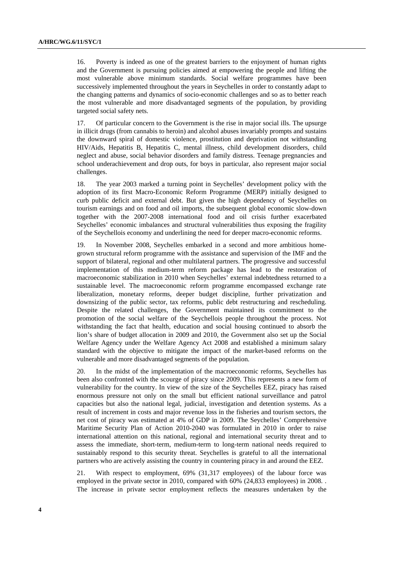16. Poverty is indeed as one of the greatest barriers to the enjoyment of human rights and the Government is pursuing policies aimed at empowering the people and lifting the most vulnerable above minimum standards. Social welfare programmes have been successively implemented throughout the years in Seychelles in order to constantly adapt to the changing patterns and dynamics of socio-economic challenges and so as to better reach the most vulnerable and more disadvantaged segments of the population, by providing targeted social safety nets.

17. Of particular concern to the Government is the rise in major social ills. The upsurge in illicit drugs (from cannabis to heroin) and alcohol abuses invariably prompts and sustains the downward spiral of domestic violence, prostitution and deprivation not withstanding HIV/Aids, Hepatitis B, Hepatitis C, mental illness, child development disorders, child neglect and abuse, social behavior disorders and family distress. Teenage pregnancies and school underachievement and drop outs, for boys in particular, also represent major social challenges.

18. The year 2003 marked a turning point in Seychelles' development policy with the adoption of its first Macro-Economic Reform Programme (MERP) initially designed to curb public deficit and external debt. But given the high dependency of Seychelles on tourism earnings and on food and oil imports, the subsequent global economic slow-down together with the 2007-2008 international food and oil crisis further exacerbated Seychelles' economic imbalances and structural vulnerabilities thus exposing the fragility of the Seychellois economy and underlining the need for deeper macro-economic reforms.

19. In November 2008, Seychelles embarked in a second and more ambitious homegrown structural reform programme with the assistance and supervision of the IMF and the support of bilateral, regional and other multilateral partners. The progressive and successful implementation of this medium-term reform package has lead to the restoration of macroeconomic stabilization in 2010 when Seychelles' external indebtedness returned to a sustainable level. The macroeconomic reform programme encompassed exchange rate liberalization, monetary reforms, deeper budget discipline, further privatization and downsizing of the public sector, tax reforms, public debt restructuring and rescheduling. Despite the related challenges, the Government maintained its commitment to the promotion of the social welfare of the Seychellois people throughout the process. Not withstanding the fact that health, education and social housing continued to absorb the lion's share of budget allocation in 2009 and 2010, the Government also set up the Social Welfare Agency under the Welfare Agency Act 2008 and established a minimum salary standard with the objective to mitigate the impact of the market-based reforms on the vulnerable and more disadvantaged segments of the population.

20. In the midst of the implementation of the macroeconomic reforms, Seychelles has been also confronted with the scourge of piracy since 2009. This represents a new form of vulnerability for the country. In view of the size of the Seychelles EEZ, piracy has raised enormous pressure not only on the small but efficient national surveillance and patrol capacities but also the national legal, judicial, investigation and detention systems. As a result of increment in costs and major revenue loss in the fisheries and tourism sectors, the net cost of piracy was estimated at 4% of GDP in 2009. The Seychelles' Comprehensive Maritime Security Plan of Action 2010-2040 was formulated in 2010 in order to raise international attention on this national, regional and international security threat and to assess the immediate, short-term, medium-term to long-term national needs required to sustainably respond to this security threat. Seychelles is grateful to all the international partners who are actively assisting the country in countering piracy in and around the EEZ.

21. With respect to employment, 69% (31,317 employees) of the labour force was employed in the private sector in 2010, compared with 60% (24,833 employees) in 2008. . The increase in private sector employment reflects the measures undertaken by the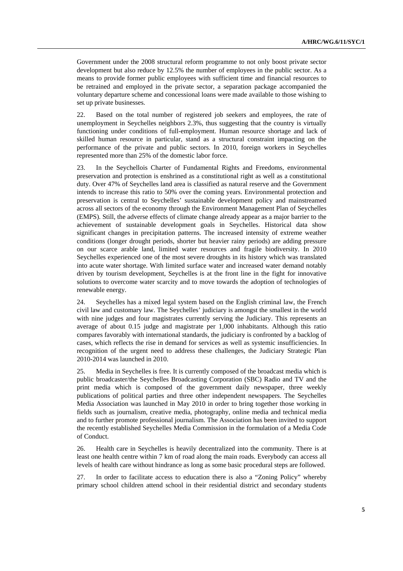Government under the 2008 structural reform programme to not only boost private sector development but also reduce by 12.5% the number of employees in the public sector. As a means to provide former public employees with sufficient time and financial resources to be retrained and employed in the private sector, a separation package accompanied the voluntary departure scheme and concessional loans were made available to those wishing to set up private businesses.

22. Based on the total number of registered job seekers and employees, the rate of unemployment in Seychelles neighbors 2.3%, thus suggesting that the country is virtually functioning under conditions of full-employment. Human resource shortage and lack of skilled human resource in particular, stand as a structural constraint impacting on the performance of the private and public sectors. In 2010, foreign workers in Seychelles represented more than 25% of the domestic labor force.

23. In the Seychellois Charter of Fundamental Rights and Freedoms, environmental preservation and protection is enshrined as a constitutional right as well as a constitutional duty. Over 47% of Seychelles land area is classified as natural reserve and the Government intends to increase this ratio to 50% over the coming years. Environmental protection and preservation is central to Seychelles' sustainable development policy and mainstreamed across all sectors of the economy through the Environment Management Plan of Seychelles (EMPS). Still, the adverse effects of climate change already appear as a major barrier to the achievement of sustainable development goals in Seychelles. Historical data show significant changes in precipitation patterns. The increased intensity of extreme weather conditions (longer drought periods, shorter but heavier rainy periods) are adding pressure on our scarce arable land, limited water resources and fragile biodiversity. In 2010 Seychelles experienced one of the most severe droughts in its history which was translated into acute water shortage. With limited surface water and increased water demand notably driven by tourism development, Seychelles is at the front line in the fight for innovative solutions to overcome water scarcity and to move towards the adoption of technologies of renewable energy.

24. Seychelles has a mixed legal system based on the English criminal law, the French civil law and customary law. The Seychelles' judiciary is amongst the smallest in the world with nine judges and four magistrates currently serving the Judiciary. This represents an average of about 0.15 judge and magistrate per 1,000 inhabitants. Although this ratio compares favorably with international standards, the judiciary is confronted by a backlog of cases, which reflects the rise in demand for services as well as systemic insufficiencies. In recognition of the urgent need to address these challenges, the Judiciary Strategic Plan 2010-2014 was launched in 2010.

25. Media in Seychelles is free. It is currently composed of the broadcast media which is public broadcaster/the Seychelles Broadcasting Corporation (SBC) Radio and TV and the print media which is composed of the government daily newspaper, three weekly publications of political parties and three other independent newspapers. The Seychelles Media Association was launched in May 2010 in order to bring together those working in fields such as journalism, creative media, photography, online media and technical media and to further promote professional journalism. The Association has been invited to support the recently established Seychelles Media Commission in the formulation of a Media Code of Conduct.

26. Health care in Seychelles is heavily decentralized into the community. There is at least one health centre within 7 km of road along the main roads. Everybody can access all levels of health care without hindrance as long as some basic procedural steps are followed.

27. In order to facilitate access to education there is also a "Zoning Policy" whereby primary school children attend school in their residential district and secondary students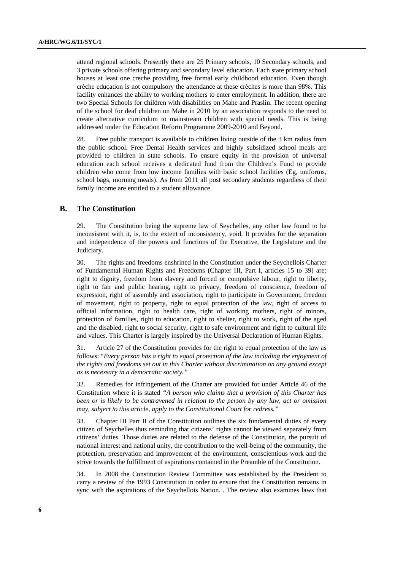attend regional schools. Presently there are 25 Primary schools, 10 Secondary schools, and 3 private schools offering primary and secondary level education. Each state primary school houses at least one creche providing free formal early childhood education. Even though crèche education is not compulsory the attendance at these crèches is more than 98%. This facility enhances the ability to working mothers to enter employment. In addition, there are two Special Schools for children with disabilities on Mahe and Praslin. The recent opening of the school for deaf children on Mahe in 2010 by an association responds to the need to create alternative curriculum to mainstream children with special needs. This is being addressed under the Education Reform Programme 2009-2010 and Beyond.

28. Free public transport is available to children living outside of the 3 km radius from the public school. Free Dental Health services and highly subsidized school meals are provided to children in state schools. To ensure equity in the provision of universal education each school receives a dedicated fund from the Children's Fund to provide children who come from low income families with basic school facilities (Eg, uniforms, school bags, morning meals). As from 2011 all post secondary students regardless of their family income are entitled to a student allowance.

# **B. The Constitution**

29. The Constitution being the supreme law of Seychelles, any other law found to be inconsistent with it, is, to the extent of inconsistency, void. It provides for the separation and independence of the powers and functions of the Executive, the Legislature and the Judiciary.

30. The rights and freedoms enshrined in the Constitution under the Seychellois Charter of Fundamental Human Rights and Freedoms (Chapter III, Part I, articles 15 to 39) are: right to dignity, freedom from slavery and forced or compulsive labour, right to liberty, right to fair and public hearing, right to privacy, freedom of conscience, freedom of expression, right of assembly and association, right to participate in Government, freedom of movement, right to property, right to equal protection of the law, right of access to official information, right to health care, right of working mothers, right of minors, protection of families, right to education, right to shelter, right to work, right of the aged and the disabled, right to social security, right to safe environment and right to cultural life and values. This Charter is largely inspired by the Universal Declaration of Human Rights.

31. Article 27 of the Constitution provides for the right to equal protection of the law as follows: "*Every person has a right to equal protection of the law including the enjoyment of the rights and freedoms set out in this Charter without discrimination on any ground except as is necessary in a democratic society."* 

32. Remedies for infringement of the Charter are provided for under Article 46 of the Constitution where it is stated *"A person who claims that a provision of this Charter has been or is likely to be contravened in relation to the person by any law, act or omission may, subject to this article, apply to the Constitutional Court for redress."* 

33. Chapter III Part II of the Constitution outlines the six fundamental duties of every citizen of Seychelles thus reminding that citizens' rights cannot be viewed separately from citizens' duties. Those duties are related to the defense of the Constitution, the pursuit of national interest and national unity, the contribution to the well-being of the community, the protection, preservation and improvement of the environment, conscientious work and the strive towards the fulfillment of aspirations contained in the Preamble of the Constitution.

34. In 2008 the Constitution Review Committee was established by the President to carry a review of the 1993 Constitution in order to ensure that the Constitution remains in sync with the aspirations of the Seychellois Nation. . The review also examines laws that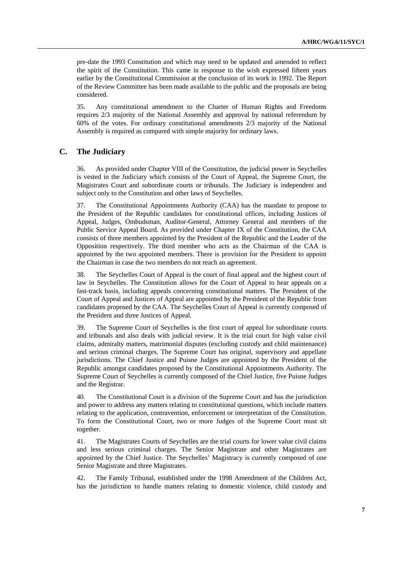pre-date the 1993 Constitution and which may need to be updated and amended to reflect the spirit of the Constitution. This came in response to the wish expressed fifteen years earlier by the Constitutional Commission at the conclusion of its work in 1992. The Report of the Review Committee has been made available to the public and the proposals are being considered.

35. Any constitutional amendment to the Charter of Human Rights and Freedoms requires 2/3 majority of the National Assembly and approval by national referendum by 60% of the votes. For ordinary constitutional amendments 2/3 majority of the National Assembly is required as compared with simple majority for ordinary laws.

## **C. The Judiciary**

36. As provided under Chapter VIII of the Constitution, the judicial power in Seychelles is vested in the Judiciary which consists of the Court of Appeal, the Supreme Court, the Magistrates Court and subordinate courts or tribunals. The Judiciary is independent and subject only to the Constitution and other laws of Seychelles.

37. The Constitutional Appointments Authority (CAA) has the mandate to propose to the President of the Republic candidates for constitutional offices, including Justices of Appeal, Judges, Ombudsman, Auditor-General, Attorney General and members of the Public Service Appeal Board. As provided under Chapter IX of the Constitution, the CAA consists of three members appointed by the President of the Republic and the Leader of the Opposition respectively. The third member who acts as the Chairman of the CAA is appointed by the two appointed members. There is provision for the President to appoint the Chairman in case the two members do not reach an agreement.

38. The Seychelles Court of Appeal is the court of final appeal and the highest court of law in Seychelles. The Constitution allows for the Court of Appeal to hear appeals on a fast-track basis, including appeals concerning constitutional matters. The President of the Court of Appeal and Justices of Appeal are appointed by the President of the Republic from candidates proposed by the CAA. The Seychelles Court of Appeal is currently composed of the President and three Justices of Appeal.

39. The Supreme Court of Seychelles is the first court of appeal for subordinate courts and tribunals and also deals with judicial review. It is the trial court for high value civil claims, admiralty matters, matrimonial disputes (excluding custody and child maintenance) and serious criminal charges. The Supreme Court has original, supervisory and appellate jurisdictions. The Chief Justice and Puisne Judges are appointed by the President of the Republic amongst candidates proposed by the Constitutional Appointments Authority. The Supreme Court of Seychelles is currently composed of the Chief Justice, five Puisne Judges and the Registrar.

40. The Constitutional Court is a division of the Supreme Court and has the jurisdiction and power to address any matters relating to constitutional questions, which include matters relating to the application, contravention, enforcement or interpretation of the Constitution. To form the Constitutional Court, two or more Judges of the Supreme Court must sit together.

41. The Magistrates Courts of Seychelles are the trial courts for lower value civil claims and less serious criminal charges. The Senior Magistrate and other Magistrates are appointed by the Chief Justice. The Seychelles' Magistracy is currently composed of one Senior Magistrate and three Magistrates.

42. The Family Tribunal, established under the 1998 Amendment of the Children Act, has the jurisdiction to handle matters relating to domestic violence, child custody and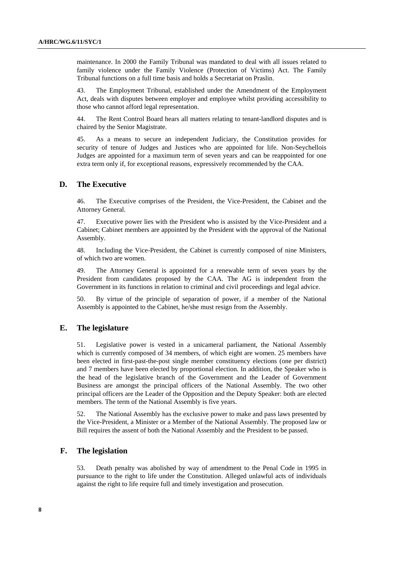maintenance. In 2000 the Family Tribunal was mandated to deal with all issues related to family violence under the Family Violence (Protection of Victims) Act. The Family Tribunal functions on a full time basis and holds a Secretariat on Praslin.

43. The Employment Tribunal, established under the Amendment of the Employment Act, deals with disputes between employer and employee whilst providing accessibility to those who cannot afford legal representation.

44. The Rent Control Board hears all matters relating to tenant-landlord disputes and is chaired by the Senior Magistrate.

45. As a means to secure an independent Judiciary, the Constitution provides for security of tenure of Judges and Justices who are appointed for life. Non-Seychellois Judges are appointed for a maximum term of seven years and can be reappointed for one extra term only if, for exceptional reasons, expressively recommended by the CAA.

## **D. The Executive**

46. The Executive comprises of the President, the Vice-President, the Cabinet and the Attorney General.

47. Executive power lies with the President who is assisted by the Vice-President and a Cabinet; Cabinet members are appointed by the President with the approval of the National Assembly.

48. Including the Vice-President, the Cabinet is currently composed of nine Ministers, of which two are women.

49. The Attorney General is appointed for a renewable term of seven years by the President from candidates proposed by the CAA. The AG is independent from the Government in its functions in relation to criminal and civil proceedings and legal advice.

50. By virtue of the principle of separation of power, if a member of the National Assembly is appointed to the Cabinet, he/she must resign from the Assembly.

# **E. The legislature**

51. Legislative power is vested in a unicameral parliament, the National Assembly which is currently composed of 34 members, of which eight are women. 25 members have been elected in first-past-the-post single member constituency elections (one per district) and 7 members have been elected by proportional election. In addition, the Speaker who is the head of the legislative branch of the Government and the Leader of Government Business are amongst the principal officers of the National Assembly. The two other principal officers are the Leader of the Opposition and the Deputy Speaker: both are elected members. The term of the National Assembly is five years.

52. The National Assembly has the exclusive power to make and pass laws presented by the Vice-President, a Minister or a Member of the National Assembly. The proposed law or Bill requires the assent of both the National Assembly and the President to be passed.

# **F. The legislation**

53. Death penalty was abolished by way of amendment to the Penal Code in 1995 in pursuance to the right to life under the Constitution. Alleged unlawful acts of individuals against the right to life require full and timely investigation and prosecution.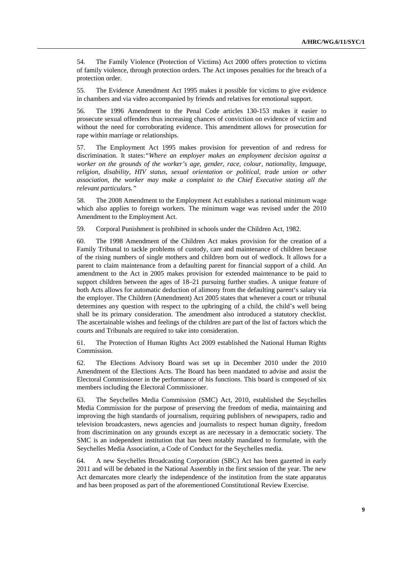54. The Family Violence (Protection of Victims) Act 2000 offers protection to victims of family violence, through protection orders. The Act imposes penalties for the breach of a protection order.

55. The Evidence Amendment Act 1995 makes it possible for victims to give evidence in chambers and via video accompanied by friends and relatives for emotional support.

56. The 1996 Amendment to the Penal Code articles 130-153 makes it easier to prosecute sexual offenders thus increasing chances of conviction on evidence of victim and without the need for corroborating evidence. This amendment allows for prosecution for rape within marriage or relationships.

57. The Employment Act 1995 makes provision for prevention of and redress for discrimination. It states:*"Where an employer makes an employment decision against a worker on the grounds of the worker's age, gender, race, colour, nationality, language, religion, disability, HIV status, sexual orientation or political, trade union or other association, the worker may make a complaint to the Chief Executive stating all the relevant particulars."*

58. The 2008 Amendment to the Employment Act establishes a national minimum wage which also applies to foreign workers. The minimum wage was revised under the 2010 Amendment to the Employment Act.

59. Corporal Punishment is prohibited in schools under the Children Act, 1982.

60. The 1998 Amendment of the Children Act makes provision for the creation of a Family Tribunal to tackle problems of custody, care and maintenance of children because of the rising numbers of single mothers and children born out of wedlock. It allows for a parent to claim maintenance from a defaulting parent for financial support of a child. An amendment to the Act in 2005 makes provision for extended maintenance to be paid to support children between the ages of 18–21 pursuing further studies. A unique feature of both Acts allows for automatic deduction of alimony from the defaulting parent's salary via the employer. The Children (Amendment) Act 2005 states that whenever a court or tribunal determines any question with respect to the upbringing of a child, the child's well being shall be its primary consideration. The amendment also introduced a statutory checklist. The ascertainable wishes and feelings of the children are part of the list of factors which the courts and Tribunals are required to take into consideration.

61. The Protection of Human Rights Act 2009 established the National Human Rights Commission.

62. The Elections Advisory Board was set up in December 2010 under the 2010 Amendment of the Elections Acts. The Board has been mandated to advise and assist the Electoral Commissioner in the performance of his functions. This board is composed of six members including the Electoral Commissioner.

63. The Seychelles Media Commission (SMC) Act, 2010, established the Seychelles Media Commission for the purpose of preserving the freedom of media, maintaining and improving the high standards of journalism, requiring publishers of newspapers, radio and television broadcasters, news agencies and journalists to respect human dignity, freedom from discrimination on any grounds except as are necessary in a democratic society. The SMC is an independent institution that has been notably mandated to formulate, with the Seychelles Media Association, a Code of Conduct for the Seychelles media.

64. A new Seychelles Broadcasting Corporation (SBC) Act has been gazetted in early 2011 and will be debated in the National Assembly in the first session of the year. The new Act demarcates more clearly the independence of the institution from the state apparatus and has been proposed as part of the aforementioned Constitutional Review Exercise.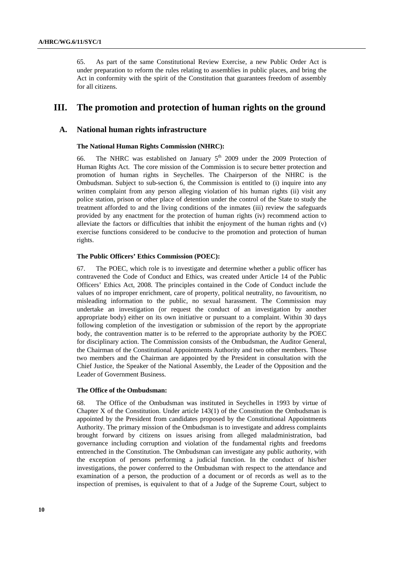65. As part of the same Constitutional Review Exercise, a new Public Order Act is under preparation to reform the rules relating to assemblies in public places, and bring the Act in conformity with the spirit of the Constitution that guarantees freedom of assembly for all citizens.

# **III. The promotion and protection of human rights on the ground**

# **A. National human rights infrastructure**

### **The National Human Rights Commission (NHRC):**

66. The NHRC was established on January  $5<sup>th</sup>$  2009 under the 2009 Protection of Human Rights Act. The core mission of the Commission is to secure better protection and promotion of human rights in Seychelles. The Chairperson of the NHRC is the Ombudsman. Subject to sub-section 6, the Commission is entitled to (i) inquire into any written complaint from any person alleging violation of his human rights (ii) visit any police station, prison or other place of detention under the control of the State to study the treatment afforded to and the living conditions of the inmates (iii) review the safeguards provided by any enactment for the protection of human rights (iv) recommend action to alleviate the factors or difficulties that inhibit the enjoyment of the human rights and (v) exercise functions considered to be conducive to the promotion and protection of human rights.

## **The Public Officers' Ethics Commission (POEC):**

67. The POEC, which role is to investigate and determine whether a public officer has contravened the Code of Conduct and Ethics, was created under Article 14 of the Public Officers' Ethics Act, 2008. The principles contained in the Code of Conduct include the values of no improper enrichment, care of property, political neutrality, no favouritism, no misleading information to the public, no sexual harassment. The Commission may undertake an investigation (or request the conduct of an investigation by another appropriate body) either on its own initiative or pursuant to a complaint. Within 30 days following completion of the investigation or submission of the report by the appropriate body, the contravention matter is to be referred to the appropriate authority by the POEC for disciplinary action. The Commission consists of the Ombudsman, the Auditor General, the Chairman of the Constitutional Appointments Authority and two other members. Those two members and the Chairman are appointed by the President in consultation with the Chief Justice, the Speaker of the National Assembly, the Leader of the Opposition and the Leader of Government Business.

#### **The Office of the Ombudsman:**

68. The Office of the Ombudsman was instituted in Seychelles in 1993 by virtue of Chapter X of the Constitution. Under article 143(1) of the Constitution the Ombudsman is appointed by the President from candidates proposed by the Constitutional Appointments Authority. The primary mission of the Ombudsman is to investigate and address complaints brought forward by citizens on issues arising from alleged maladministration, bad governance including corruption and violation of the fundamental rights and freedoms entrenched in the Constitution. The Ombudsman can investigate any public authority, with the exception of persons performing a judicial function. In the conduct of his/her investigations, the power conferred to the Ombudsman with respect to the attendance and examination of a person, the production of a document or of records as well as to the inspection of premises, is equivalent to that of a Judge of the Supreme Court, subject to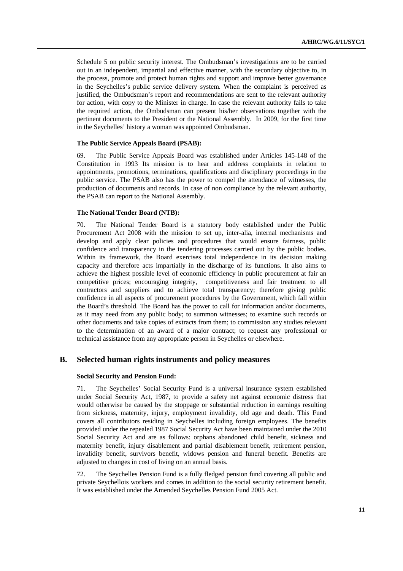Schedule 5 on public security interest. The Ombudsman's investigations are to be carried out in an independent, impartial and effective manner, with the secondary objective to, in the process, promote and protect human rights and support and improve better governance in the Seychelles's public service delivery system. When the complaint is perceived as justified, the Ombudsman's report and recommendations are sent to the relevant authority for action, with copy to the Minister in charge. In case the relevant authority fails to take the required action, the Ombudsman can present his/her observations together with the pertinent documents to the President or the National Assembly. In 2009, for the first time in the Seychelles' history a woman was appointed Ombudsman.

#### **The Public Service Appeals Board (PSAB):**

69. The Public Service Appeals Board was established under Articles 145-148 of the Constitution in 1993 Its mission is to hear and address complaints in relation to appointments, promotions, terminations, qualifications and disciplinary proceedings in the public service. The PSAB also has the power to compel the attendance of witnesses, the production of documents and records. In case of non compliance by the relevant authority, the PSAB can report to the National Assembly.

#### **The National Tender Board (NTB):**

70. The National Tender Board is a statutory body established under the Public Procurement Act 2008 with the mission to set up, inter-alia, internal mechanisms and develop and apply clear policies and procedures that would ensure fairness, public confidence and transparency in the tendering processes carried out by the public bodies. Within its framework, the Board exercises total independence in its decision making capacity and therefore acts impartially in the discharge of its functions. It also aims to achieve the highest possible level of economic efficiency in public procurement at fair an competitive prices; encouraging integrity, competitiveness and fair treatment to all contractors and suppliers and to achieve total transparency; therefore giving public confidence in all aspects of procurement procedures by the Government, which fall within the Board's threshold. The Board has the power to call for information and/or documents, as it may need from any public body; to summon witnesses; to examine such records or other documents and take copies of extracts from them; to commission any studies relevant to the determination of an award of a major contract; to request any professional or technical assistance from any appropriate person in Seychelles or elsewhere.

## **B. Selected human rights instruments and policy measures**

### **Social Security and Pension Fund:**

71. The Seychelles' Social Security Fund is a universal insurance system established under Social Security Act, 1987, to provide a safety net against economic distress that would otherwise be caused by the stoppage or substantial reduction in earnings resulting from sickness, maternity, injury, employment invalidity, old age and death. This Fund covers all contributors residing in Seychelles including foreign employees. The benefits provided under the repealed 1987 Social Security Act have been maintained under the 2010 Social Security Act and are as follows: orphans abandoned child benefit, sickness and maternity benefit, injury disablement and partial disablement benefit, retirement pension, invalidity benefit, survivors benefit, widows pension and funeral benefit. Benefits are adjusted to changes in cost of living on an annual basis.

72. The Seychelles Pension Fund is a fully fledged pension fund covering all public and private Seychellois workers and comes in addition to the social security retirement benefit. It was established under the Amended Seychelles Pension Fund 2005 Act.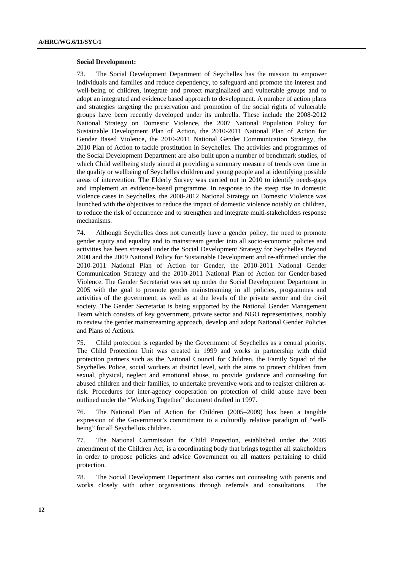#### **Social Development:**

73. The Social Development Department of Seychelles has the mission to empower individuals and families and reduce dependency, to safeguard and promote the interest and well-being of children, integrate and protect marginalized and vulnerable groups and to adopt an integrated and evidence based approach to development. A number of action plans and strategies targeting the preservation and promotion of the social rights of vulnerable groups have been recently developed under its umbrella. These include the 2008-2012 National Strategy on Domestic Violence, the 2007 National Population Policy for Sustainable Development Plan of Action, the 2010-2011 National Plan of Action for Gender Based Violence, the 2010-2011 National Gender Communication Strategy, the 2010 Plan of Action to tackle prostitution in Seychelles. The activities and programmes of the Social Development Department are also built upon a number of benchmark studies, of which Child wellbeing study aimed at providing a summary measure of trends over time in the quality or wellbeing of Seychelles children and young people and at identifying possible areas of intervention. The Elderly Survey was carried out in 2010 to identify needs-gaps and implement an evidence-based programme. In response to the steep rise in domestic violence cases in Seychelles, the 2008-2012 National Strategy on Domestic Violence was launched with the objectives to reduce the impact of domestic violence notably on children, to reduce the risk of occurrence and to strengthen and integrate multi-stakeholders response mechanisms.

74. Although Seychelles does not currently have a gender policy, the need to promote gender equity and equality and to mainstream gender into all socio-economic policies and activities has been stressed under the Social Development Strategy for Seychelles Beyond 2000 and the 2009 National Policy for Sustainable Development and re-affirmed under the 2010-2011 National Plan of Action for Gender, the 2010-2011 National Gender Communication Strategy and the 2010-2011 National Plan of Action for Gender-based Violence. The Gender Secretariat was set up under the Social Development Department in 2005 with the goal to promote gender mainstreaming in all policies, programmes and activities of the government, as well as at the levels of the private sector and the civil society. The Gender Secretariat is being supported by the National Gender Management Team which consists of key government, private sector and NGO representatives, notably to review the gender mainstreaming approach, develop and adopt National Gender Policies and Plans of Actions.

75. Child protection is regarded by the Government of Seychelles as a central priority. The Child Protection Unit was created in 1999 and works in partnership with child protection partners such as the National Council for Children, the Family Squad of the Seychelles Police, social workers at district level, with the aims to protect children from sexual, physical, neglect and emotional abuse, to provide guidance and counseling for abused children and their families, to undertake preventive work and to register children atrisk. Procedures for inter-agency cooperation on protection of child abuse have been outlined under the "Working Together" document drafted in 1997.

76. The National Plan of Action for Children (2005–2009) has been a tangible expression of the Government's commitment to a culturally relative paradigm of "wellbeing" for all Seychellois children.

77. The National Commission for Child Protection, established under the 2005 amendment of the Children Act, is a coordinating body that brings together all stakeholders in order to propose policies and advice Government on all matters pertaining to child protection.

78. The Social Development Department also carries out counseling with parents and works closely with other organisations through referrals and consultations. The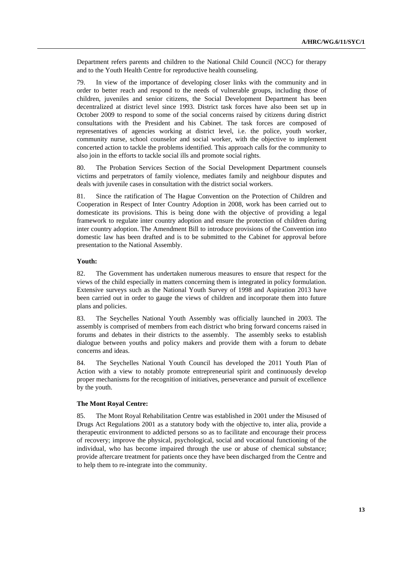Department refers parents and children to the National Child Council (NCC) for therapy and to the Youth Health Centre for reproductive health counseling.

79. In view of the importance of developing closer links with the community and in order to better reach and respond to the needs of vulnerable groups, including those of children, juveniles and senior citizens, the Social Development Department has been decentralized at district level since 1993. District task forces have also been set up in October 2009 to respond to some of the social concerns raised by citizens during district consultations with the President and his Cabinet. The task forces are composed of representatives of agencies working at district level, i.e. the police, youth worker, community nurse, school counselor and social worker, with the objective to implement concerted action to tackle the problems identified. This approach calls for the community to also join in the efforts to tackle social ills and promote social rights.

80. The Probation Services Section of the Social Development Department counsels victims and perpetrators of family violence, mediates family and neighbour disputes and deals with juvenile cases in consultation with the district social workers.

81. Since the ratification of The Hague Convention on the Protection of Children and Cooperation in Respect of Inter Country Adoption in 2008, work has been carried out to domesticate its provisions. This is being done with the objective of providing a legal framework to regulate inter country adoption and ensure the protection of children during inter country adoption. The Amendment Bill to introduce provisions of the Convention into domestic law has been drafted and is to be submitted to the Cabinet for approval before presentation to the National Assembly.

#### **Youth:**

82. The Government has undertaken numerous measures to ensure that respect for the views of the child especially in matters concerning them is integrated in policy formulation. Extensive surveys such as the National Youth Survey of 1998 and Aspiration 2013 have been carried out in order to gauge the views of children and incorporate them into future plans and policies.

83. The Seychelles National Youth Assembly was officially launched in 2003. The assembly is comprised of members from each district who bring forward concerns raised in forums and debates in their districts to the assembly. The assembly seeks to establish dialogue between youths and policy makers and provide them with a forum to debate concerns and ideas.

84. The Seychelles National Youth Council has developed the 2011 Youth Plan of Action with a view to notably promote entrepreneurial spirit and continuously develop proper mechanisms for the recognition of initiatives, perseverance and pursuit of excellence by the youth.

## **The Mont Royal Centre:**

85. The Mont Royal Rehabilitation Centre was established in 2001 under the Misused of Drugs Act Regulations 2001 as a statutory body with the objective to, inter alia, provide a therapeutic environment to addicted persons so as to facilitate and encourage their process of recovery; improve the physical, psychological, social and vocational functioning of the individual, who has become impaired through the use or abuse of chemical substance; provide aftercare treatment for patients once they have been discharged from the Centre and to help them to re-integrate into the community.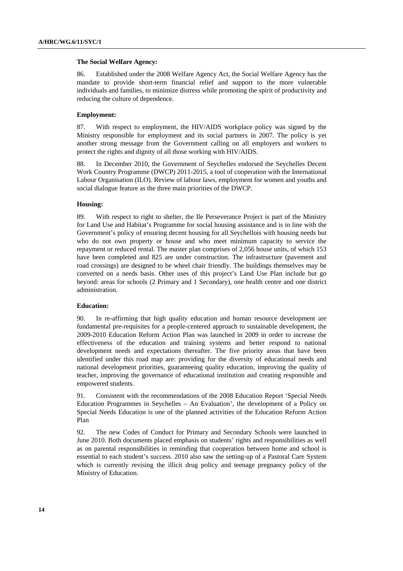#### **The Social Welfare Agency:**

86. Established under the 2008 Welfare Agency Act, the Social Welfare Agency has the mandate to provide short-term financial relief and support to the more vulnerable individuals and families, to minimize distress while promoting the spirit of productivity and reducing the culture of dependence.

## **Employment:**

87. With respect to employment, the HIV/AIDS workplace policy was signed by the Ministry responsible for employment and its social partners in 2007. The policy is yet another strong message from the Government calling on all employers and workers to protect the rights and dignity of all those working with HIV/AIDS.

88. In December 2010, the Government of Seychelles endorsed the Seychelles Decent Work Country Programme (DWCP) 2011-2015, a tool of cooperation with the International Labour Organisation (ILO). Review of labour laws, employment for women and youths and social dialogue feature as the three main priorities of the DWCP.

## **Housing:**

89. With respect to right to shelter, the Ile Perseverance Project is part of the Ministry for Land Use and Habitat's Programme for social housing assistance and is in line with the Government's policy of ensuring decent housing for all Seychellois with housing needs but who do not own property or house and who meet minimum capacity to service the repayment or reduced rental. The master plan comprises of 2,056 house units, of which 153 have been completed and 825 are under construction. The infrastructure (pavement and road crossings) are designed to be wheel chair friendly. The buildings themselves may be converted on a needs basis. Other uses of this project's Land Use Plan include but go beyond: areas for schools (2 Primary and 1 Secondary), one health centre and one district administration.

#### **Education:**

90. In re-affirming that high quality education and human resource development are fundamental pre-requisites for a people-centered approach to sustainable development, the 2009-2010 Education Reform Action Plan was launched in 2009 in order to increase the effectiveness of the education and training systems and better respond to national development needs and expectations thereafter. The five priority areas that have been identified under this road map are: providing for the diversity of educational needs and national development priorities, guaranteeing quality education, improving the quality of teacher, improving the governance of educational institution and creating responsible and empowered students.

91. Consistent with the recommendations of the 2008 Education Report 'Special Needs Education Programmes in Seychelles – An Evaluation', the development of a Policy on Special Needs Education is one of the planned activities of the Education Reform Action Plan

92. The new Codes of Conduct for Primary and Secondary Schools were launched in June 2010. Both documents placed emphasis on students' rights and responsibilities as well as on parental responsibilities in reminding that cooperation between home and school is essential to each student's success. 2010 also saw the setting-up of a Pastoral Care System which is currently revising the illicit drug policy and teenage pregnancy policy of the Ministry of Education.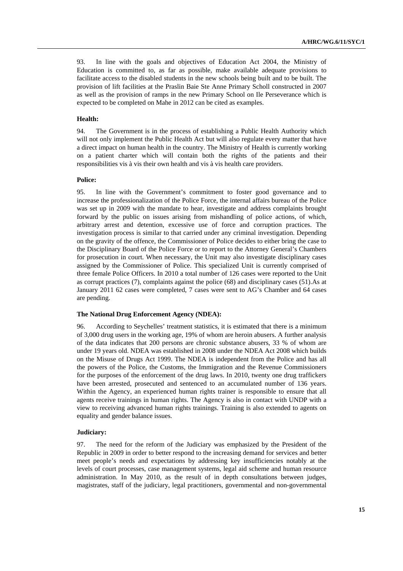93. In line with the goals and objectives of Education Act 2004, the Ministry of Education is committed to, as far as possible, make available adequate provisions to facilitate access to the disabled students in the new schools being built and to be built. The provision of lift facilities at the Praslin Baie Ste Anne Primary Scholl constructed in 2007 as well as the provision of ramps in the new Primary School on Ile Perseverance which is expected to be completed on Mahe in 2012 can be cited as examples.

#### **Health:**

94. The Government is in the process of establishing a Public Health Authority which will not only implement the Public Health Act but will also regulate every matter that have a direct impact on human health in the country. The Ministry of Health is currently working on a patient charter which will contain both the rights of the patients and their responsibilities vis à vis their own health and vis à vis health care providers.

### **Police:**

95. In line with the Government's commitment to foster good governance and to increase the professionalization of the Police Force, the internal affairs bureau of the Police was set up in 2009 with the mandate to hear, investigate and address complaints brought forward by the public on issues arising from mishandling of police actions, of which, arbitrary arrest and detention, excessive use of force and corruption practices. The investigation process is similar to that carried under any criminal investigation. Depending on the gravity of the offence, the Commissioner of Police decides to either bring the case to the Disciplinary Board of the Police Force or to report to the Attorney General's Chambers for prosecution in court. When necessary, the Unit may also investigate disciplinary cases assigned by the Commissioner of Police. This specialized Unit is currently comprised of three female Police Officers. In 2010 a total number of 126 cases were reported to the Unit as corrupt practices (7), complaints against the police (68) and disciplinary cases (51).As at January 2011 62 cases were completed, 7 cases were sent to AG's Chamber and 64 cases are pending.

#### **The National Drug Enforcement Agency (NDEA):**

96. According to Seychelles' treatment statistics, it is estimated that there is a minimum of 3,000 drug users in the working age, 19% of whom are heroin abusers. A further analysis of the data indicates that 200 persons are chronic substance abusers, 33 % of whom are under 19 years old. NDEA was established in 2008 under the NDEA Act 2008 which builds on the Misuse of Drugs Act 1999. The NDEA is independent from the Police and has all the powers of the Police, the Customs, the Immigration and the Revenue Commissioners for the purposes of the enforcement of the drug laws. In 2010, twenty one drug traffickers have been arrested, prosecuted and sentenced to an accumulated number of 136 years. Within the Agency, an experienced human rights trainer is responsible to ensure that all agents receive trainings in human rights. The Agency is also in contact with UNDP with a view to receiving advanced human rights trainings. Training is also extended to agents on equality and gender balance issues.

#### **Judiciary:**

97. The need for the reform of the Judiciary was emphasized by the President of the Republic in 2009 in order to better respond to the increasing demand for services and better meet people's needs and expectations by addressing key insufficiencies notably at the levels of court processes, case management systems, legal aid scheme and human resource administration. In May 2010, as the result of in depth consultations between judges, magistrates, staff of the judiciary, legal practitioners, governmental and non-governmental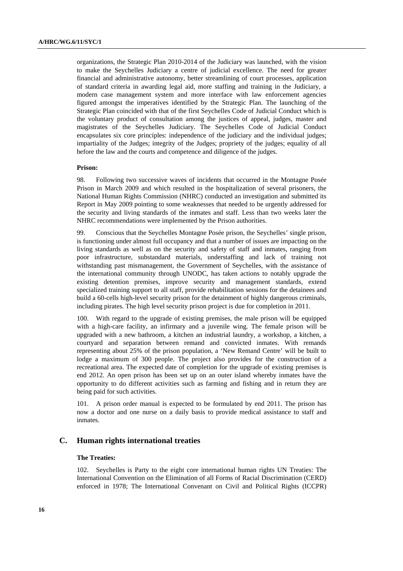organizations, the Strategic Plan 2010-2014 of the Judiciary was launched, with the vision to make the Seychelles Judiciary a centre of judicial excellence. The need for greater financial and administrative autonomy, better streamlining of court processes, application of standard criteria in awarding legal aid, more staffing and training in the Judiciary, a modern case management system and more interface with law enforcement agencies figured amongst the imperatives identified by the Strategic Plan. The launching of the Strategic Plan coincided with that of the first Seychelles Code of Judicial Conduct which is the voluntary product of consultation among the justices of appeal, judges, master and magistrates of the Seychelles Judiciary. The Seychelles Code of Judicial Conduct encapsulates six core principles: independence of the judiciary and the individual judges; impartiality of the Judges; integrity of the Judges; propriety of the judges; equality of all before the law and the courts and competence and diligence of the judges.

#### **Prison:**

98. Following two successive waves of incidents that occurred in the Montagne Posée Prison in March 2009 and which resulted in the hospitalization of several prisoners, the National Human Rights Commission (NHRC) conducted an investigation and submitted its Report in May 2009 pointing to some weaknesses that needed to be urgently addressed for the security and living standards of the inmates and staff. Less than two weeks later the NHRC recommendations were implemented by the Prison authorities.

99. Conscious that the Seychelles Montagne Posée prison, the Seychelles' single prison, is functioning under almost full occupancy and that a number of issues are impacting on the living standards as well as on the security and safety of staff and inmates, ranging from poor infrastructure, substandard materials, understaffing and lack of training not withstanding past mismanagement, the Government of Seychelles, with the assistance of the international community through UNODC, has taken actions to notably upgrade the existing detention premises, improve security and management standards, extend specialized training support to all staff, provide rehabilitation sessions for the detainees and build a 60-cells high-level security prison for the detainment of highly dangerous criminals, including pirates. The high level security prison project is due for completion in 2011.

100. With regard to the upgrade of existing premises, the male prison will be equipped with a high-care facility, an infirmary and a juvenile wing. The female prison will be upgraded with a new bathroom, a kitchen an industrial laundry, a workshop, a kitchen, a courtyard and separation between remand and convicted inmates. With remands representing about 25% of the prison population, a 'New Remand Centre' will be built to lodge a maximum of 300 people. The project also provides for the construction of a recreational area. The expected date of completion for the upgrade of existing premises is end 2012. An open prison has been set up on an outer island whereby inmates have the opportunity to do different activities such as farming and fishing and in return they are being paid for such activities.

101. A prison order manual is expected to be formulated by end 2011. The prison has now a doctor and one nurse on a daily basis to provide medical assistance to staff and inmates.

## **C. Human rights international treaties**

#### **The Treaties:**

102. Seychelles is Party to the eight core international human rights UN Treaties: The International Convention on the Elimination of all Forms of Racial Discrimination (CERD) enforced in 1978; The International Convenant on Civil and Political Rights (ICCPR)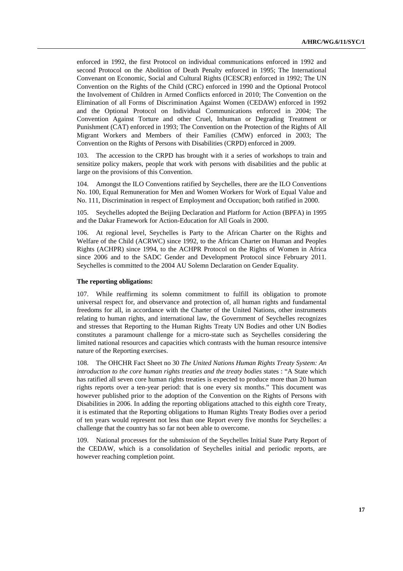enforced in 1992, the first Protocol on individual communications enforced in 1992 and second Protocol on the Abolition of Death Penalty enforced in 1995; The International Convenant on Economic, Social and Cultural Rights (ICESCR) enforced in 1992; The UN Convention on the Rights of the Child (CRC) enforced in 1990 and the Optional Protocol the Involvement of Children in Armed Conflicts enforced in 2010; The Convention on the Elimination of all Forms of Discrimination Against Women (CEDAW) enforced in 1992 and the Optional Protocol on Individual Communications enforced in 2004; The Convention Against Torture and other Cruel, Inhuman or Degrading Treatment or Punishment (CAT) enforced in 1993; The Convention on the Protection of the Rights of All Migrant Workers and Members of their Families (CMW) enforced in 2003; The Convention on the Rights of Persons with Disabilities (CRPD) enforced in 2009.

103. The accession to the CRPD has brought with it a series of workshops to train and sensitize policy makers, people that work with persons with disabilities and the public at large on the provisions of this Convention.

104. Amongst the ILO Conventions ratified by Seychelles, there are the ILO Conventions No. 100, Equal Remuneration for Men and Women Workers for Work of Equal Value and No. 111, Discrimination in respect of Employment and Occupation; both ratified in 2000.

105. Seychelles adopted the Beijing Declaration and Platform for Action (BPFA) in 1995 and the Dakar Framework for Action-Education for All Goals in 2000.

106. At regional level, Seychelles is Party to the African Charter on the Rights and Welfare of the Child (ACRWC) since 1992, to the African Charter on Human and Peoples Rights (ACHPR) since 1994, to the ACHPR Protocol on the Rights of Women in Africa since 2006 and to the SADC Gender and Development Protocol since February 2011. Seychelles is committed to the 2004 AU Solemn Declaration on Gender Equality.

### **The reporting obligations:**

107. While reaffirming its solemn commitment to fulfill its obligation to promote universal respect for, and observance and protection of, all human rights and fundamental freedoms for all, in accordance with the Charter of the United Nations, other instruments relating to human rights, and international law, the Government of Seychelles recognizes and stresses that Reporting to the Human Rights Treaty UN Bodies and other UN Bodies constitutes a paramount challenge for a micro-state such as Seychelles considering the limited national resources and capacities which contrasts with the human resource intensive nature of the Reporting exercises.

108. The OHCHR Fact Sheet no 30 *The United Nations Human Rights Treaty System: An introduction to the core human rights treaties and the treaty bodies states : "A State which* has ratified all seven core human rights treaties is expected to produce more than 20 human rights reports over a ten-year period: that is one every six months." This document was however published prior to the adoption of the Convention on the Rights of Persons with Disabilities in 2006. In adding the reporting obligations attached to this eighth core Treaty, it is estimated that the Reporting obligations to Human Rights Treaty Bodies over a period of ten years would represent not less than one Report every five months for Seychelles: a challenge that the country has so far not been able to overcome.

109. National processes for the submission of the Seychelles Initial State Party Report of the CEDAW, which is a consolidation of Seychelles initial and periodic reports, are however reaching completion point.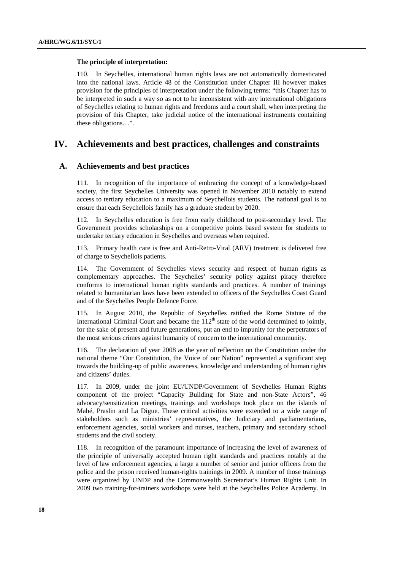#### **The principle of interpretation:**

110. In Seychelles, international human rights laws are not automatically domesticated into the national laws. Article 48 of the Constitution under Chapter III however makes provision for the principles of interpretation under the following terms: "this Chapter has to be interpreted in such a way so as not to be inconsistent with any international obligations of Seychelles relating to human rights and freedoms and a court shall, when interpreting the provision of this Chapter, take judicial notice of the international instruments containing these obligations…".

# **IV. Achievements and best practices, challenges and constraints**

## **A. Achievements and best practices**

111. In recognition of the importance of embracing the concept of a knowledge-based society, the first Seychelles University was opened in November 2010 notably to extend access to tertiary education to a maximum of Seychellois students. The national goal is to ensure that each Seychellois family has a graduate student by 2020.

112. In Seychelles education is free from early childhood to post-secondary level. The Government provides scholarships on a competitive points based system for students to undertake tertiary education in Seychelles and overseas when required.

113. Primary health care is free and Anti-Retro-Viral (ARV) treatment is delivered free of charge to Seychellois patients.

114. The Government of Seychelles views security and respect of human rights as complementary approaches. The Seychelles' security policy against piracy therefore conforms to international human rights standards and practices. A number of trainings related to humanitarian laws have been extended to officers of the Seychelles Coast Guard and of the Seychelles People Defence Force.

115. In August 2010, the Republic of Seychelles ratified the Rome Statute of the International Criminal Court and became the  $112<sup>th</sup>$  state of the world determined to jointly, for the sake of present and future generations, put an end to impunity for the perpetrators of the most serious crimes against humanity of concern to the international community.

116. The declaration of year 2008 as the year of reflection on the Constitution under the national theme "Our Constitution, the Voice of our Nation" represented a significant step towards the building-up of public awareness, knowledge and understanding of human rights and citizens' duties.

117. In 2009, under the joint EU/UNDP/Government of Seychelles Human Rights component of the project "Capacity Building for State and non-State Actors", 46 advocacy/sensitization meetings, trainings and workshops took place on the islands of Mahé, Praslin and La Digue. These critical activities were extended to a wide range of stakeholders such as ministries' representatives, the Judiciary and parliamentarians, enforcement agencies, social workers and nurses, teachers, primary and secondary school students and the civil society.

118. In recognition of the paramount importance of increasing the level of awareness of the principle of universally accepted human right standards and practices notably at the level of law enforcement agencies, a large a number of senior and junior officers from the police and the prison received human-rights trainings in 2009. A number of those trainings were organized by UNDP and the Commonwealth Secretariat's Human Rights Unit. In 2009 two training-for-trainers workshops were held at the Seychelles Police Academy. In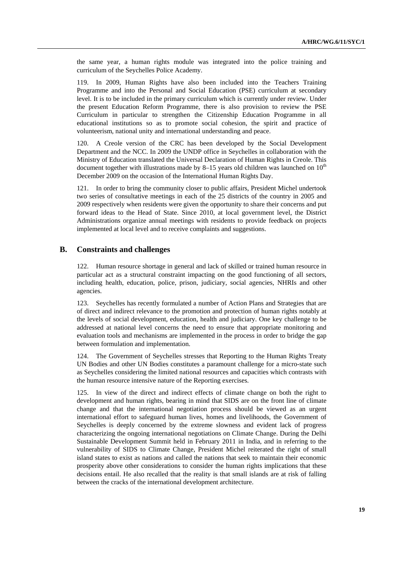the same year, a human rights module was integrated into the police training and curriculum of the Seychelles Police Academy.

119. In 2009, Human Rights have also been included into the Teachers Training Programme and into the Personal and Social Education (PSE) curriculum at secondary level. It is to be included in the primary curriculum which is currently under review. Under the present Education Reform Programme, there is also provision to review the PSE Curriculum in particular to strengthen the Citizenship Education Programme in all educational institutions so as to promote social cohesion, the spirit and practice of volunteerism, national unity and international understanding and peace.

120. A Creole version of the CRC has been developed by the Social Development Department and the NCC. In 2009 the UNDP office in Seychelles in collaboration with the Ministry of Education translated the Universal Declaration of Human Rights in Creole. This document together with illustrations made by 8–15 years old children was launched on  $10<sup>th</sup>$ December 2009 on the occasion of the International Human Rights Day.

121. In order to bring the community closer to public affairs, President Michel undertook two series of consultative meetings in each of the 25 districts of the country in 2005 and 2009 respectively when residents were given the opportunity to share their concerns and put forward ideas to the Head of State. Since 2010, at local government level, the District Administrations organize annual meetings with residents to provide feedback on projects implemented at local level and to receive complaints and suggestions.

# **B. Constraints and challenges**

122. Human resource shortage in general and lack of skilled or trained human resource in particular act as a structural constraint impacting on the good functioning of all sectors, including health, education, police, prison, judiciary, social agencies, NHRIs and other agencies.

123. Seychelles has recently formulated a number of Action Plans and Strategies that are of direct and indirect relevance to the promotion and protection of human rights notably at the levels of social development, education, health and judiciary. One key challenge to be addressed at national level concerns the need to ensure that appropriate monitoring and evaluation tools and mechanisms are implemented in the process in order to bridge the gap between formulation and implementation.

124. The Government of Seychelles stresses that Reporting to the Human Rights Treaty UN Bodies and other UN Bodies constitutes a paramount challenge for a micro-state such as Seychelles considering the limited national resources and capacities which contrasts with the human resource intensive nature of the Reporting exercises.

125. In view of the direct and indirect effects of climate change on both the right to development and human rights, bearing in mind that SIDS are on the front line of climate change and that the international negotiation process should be viewed as an urgent international effort to safeguard human lives, homes and livelihoods, the Government of Seychelles is deeply concerned by the extreme slowness and evident lack of progress characterizing the ongoing international negotiations on Climate Change. During the Delhi Sustainable Development Summit held in February 2011 in India, and in referring to the vulnerability of SIDS to Climate Change, President Michel reiterated the right of small island states to exist as nations and called the nations that seek to maintain their economic prosperity above other considerations to consider the human rights implications that these decisions entail. He also recalled that the reality is that small islands are at risk of falling between the cracks of the international development architecture.